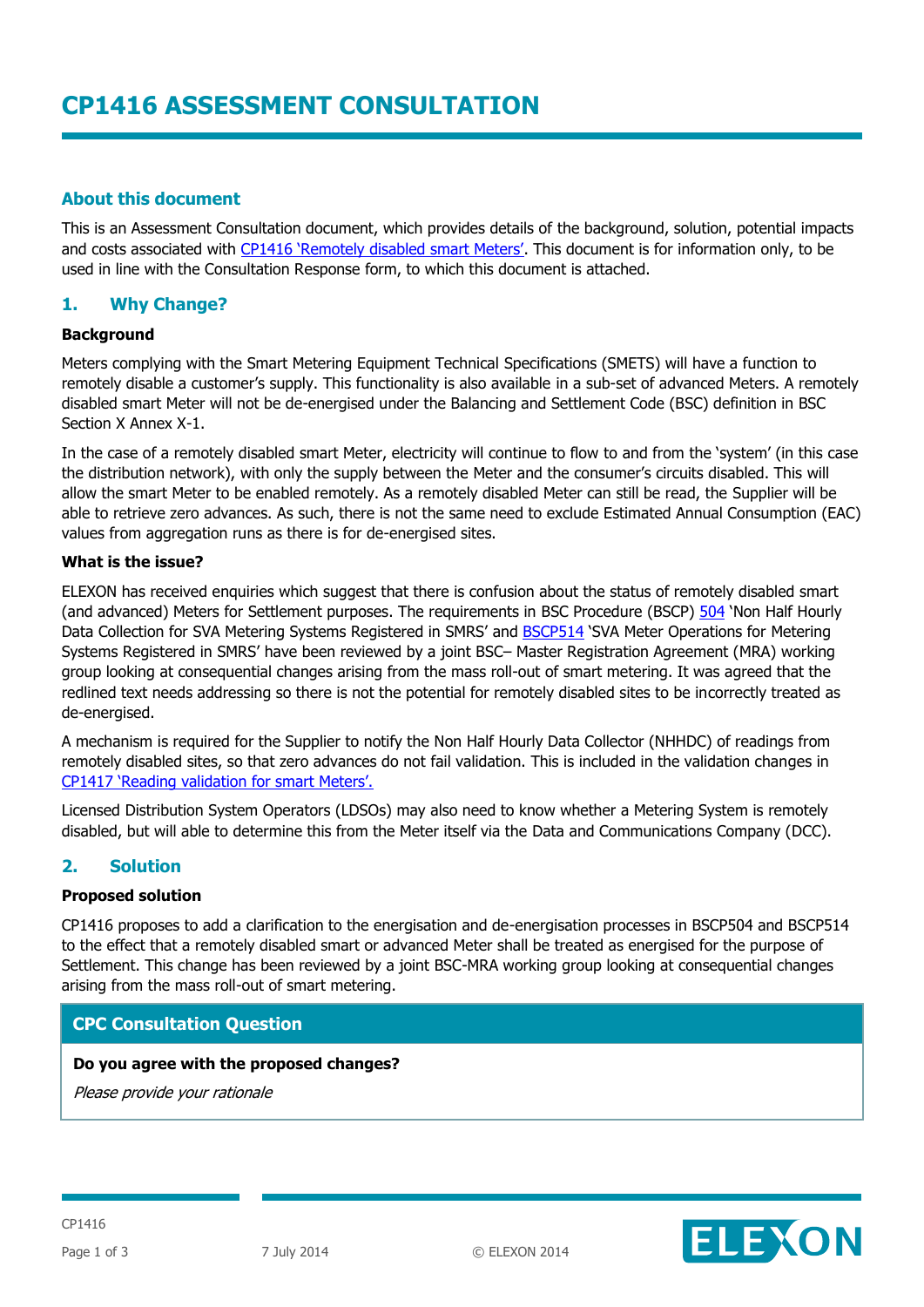# **About this document**

This is an Assessment Consultation document, which provides details of the background, solution, potential impacts and costs associated with [CP1416 'Remotely disabled smart Meters'](http://www.elexon.co.uk/change-proposal/cp1416/). This document is for information only, to be used in line with the Consultation Response form, to which this document is attached.

# **1. Why Change?**

## **Background**

Meters complying with the Smart Metering Equipment Technical Specifications (SMETS) will have a function to remotely disable a customer's supply. This functionality is also available in a sub-set of advanced Meters. A remotely disabled smart Meter will not be de-energised under the Balancing and Settlement Code (BSC) definition in BSC Section X Annex X-1.

In the case of a remotely disabled smart Meter, electricity will continue to flow to and from the 'system' (in this case the distribution network), with only the supply between the Meter and the consumer's circuits disabled. This will allow the smart Meter to be enabled remotely. As a remotely disabled Meter can still be read, the Supplier will be able to retrieve zero advances. As such, there is not the same need to exclude Estimated Annual Consumption (EAC) values from aggregation runs as there is for de-energised sites.

## **What is the issue?**

ELEXON has received enquiries which suggest that there is confusion about the status of remotely disabled smart (and advanced) Meters for Settlement purposes. The requirements in BSC Procedure (BSCP) [504](http://www.elexon.co.uk/bsc-related-documents/related-documents/bscps) 'Non Half Hourly Data Collection for SVA Metering Systems Registered in SMRS' and [BSCP514](http://www.elexon.co.uk/bsc-related-documents/related-documents/bscps) 'SVA Meter Operations for Metering Systems Registered in SMRS' have been reviewed by a joint BSC– Master Registration Agreement (MRA) working group looking at consequential changes arising from the mass roll-out of smart metering. It was agreed that the redlined text needs addressing so there is not the potential for remotely disabled sites to be incorrectly treated as de-energised.

A mechanism is required for the Supplier to notify the Non Half Hourly Data Collector (NHHDC) of readings from remotely disabled sites, so that zero advances do not fail validation. This is included in the validation changes in [CP1417 'Reading validation for smart Meters'.](http://www.elexon.co.uk/change-proposal/cp1417/)

Licensed Distribution System Operators (LDSOs) may also need to know whether a Metering System is remotely disabled, but will able to determine this from the Meter itself via the Data and Communications Company (DCC).

# **2. Solution**

## **Proposed solution**

CP1416 proposes to add a clarification to the energisation and de-energisation processes in BSCP504 and BSCP514 to the effect that a remotely disabled smart or advanced Meter shall be treated as energised for the purpose of Settlement. This change has been reviewed by a joint BSC-MRA working group looking at consequential changes arising from the mass roll-out of smart metering.

# **CPC Consultation Question**

## **Do you agree with the proposed changes?**

Please provide your rationale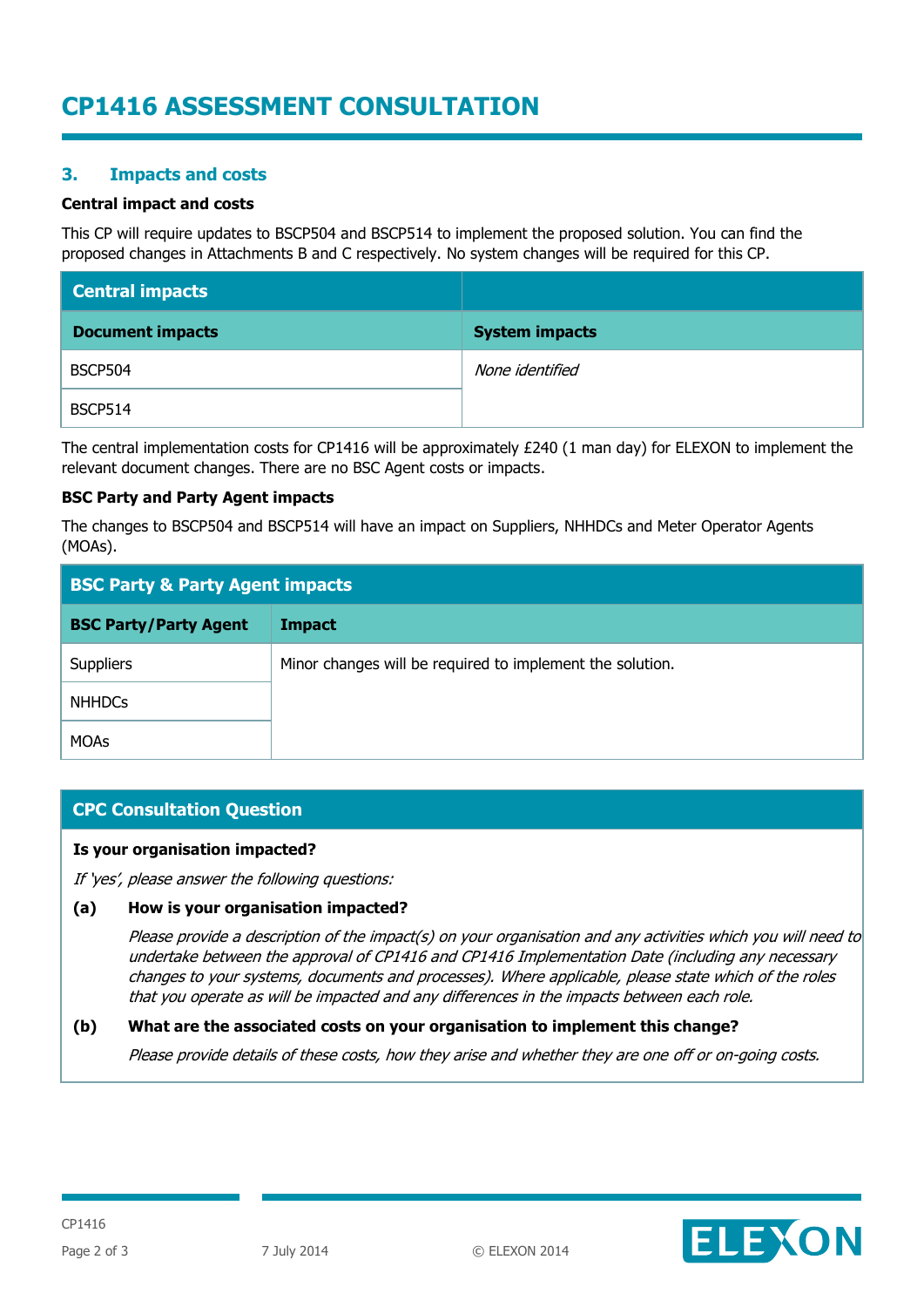# **CP1416 ASSESSMENT CONSULTATION**

# **3. Impacts and costs**

### **Central impact and costs**

This CP will require updates to BSCP504 and BSCP514 to implement the proposed solution. You can find the proposed changes in Attachments B and C respectively. No system changes will be required for this CP.

| <b>Central impacts</b>  |                       |
|-------------------------|-----------------------|
| <b>Document impacts</b> | <b>System impacts</b> |
| <b>BSCP504</b>          | None identified       |
| <b>BSCP514</b>          |                       |

The central implementation costs for CP1416 will be approximately £240 (1 man day) for ELEXON to implement the relevant document changes. There are no BSC Agent costs or impacts.

#### **BSC Party and Party Agent impacts**

The changes to BSCP504 and BSCP514 will have an impact on Suppliers, NHHDCs and Meter Operator Agents (MOAs).

| <b>BSC Party &amp; Party Agent impacts</b> |                                                           |
|--------------------------------------------|-----------------------------------------------------------|
| <b>BSC Party/Party Agent</b>               | <b>Impact</b>                                             |
| <b>Suppliers</b>                           | Minor changes will be required to implement the solution. |
| <b>NHHDCs</b>                              |                                                           |
| <b>MOAs</b>                                |                                                           |

# **CPC Consultation Question**

#### **Is your organisation impacted?**

If 'yes', please answer the following questions:

## **(a) How is your organisation impacted?**

Please provide a description of the impact(s) on your organisation and any activities which you will need to undertake between the approval of CP1416 and CP1416 Implementation Date (including any necessary changes to your systems, documents and processes). Where applicable, please state which of the roles that you operate as will be impacted and any differences in the impacts between each role.

## **(b) What are the associated costs on your organisation to implement this change?**

Please provide details of these costs, how they arise and whether they are one off or on-going costs.

ELEXON